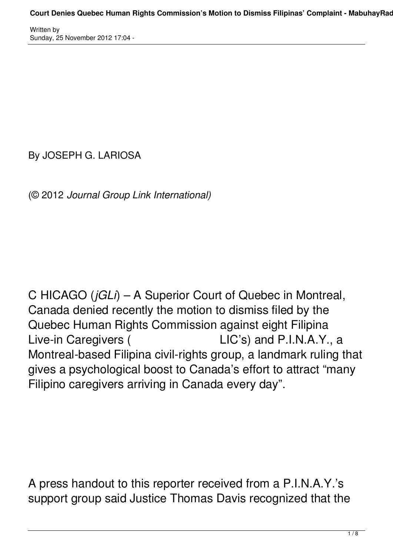By JOSEPH G. LARIOSA

(© 2012 *Journal Group Link International)*

C HICAGO (*jGLi*) – A Superior Court of Quebec in Montreal, Canada denied recently the motion to dismiss filed by the Quebec Human Rights Commission against eight Filipina Live-in Caregivers ( LIC's) and P.I.N.A.Y., a Montreal-based Filipina civil-rights group, a landmark ruling that gives a psychological boost to Canada's effort to attract "many Filipino caregivers arriving in Canada every day".

A press handout to this reporter received from a P.I.N.A.Y.'s support group said Justice Thomas Davis recognized that the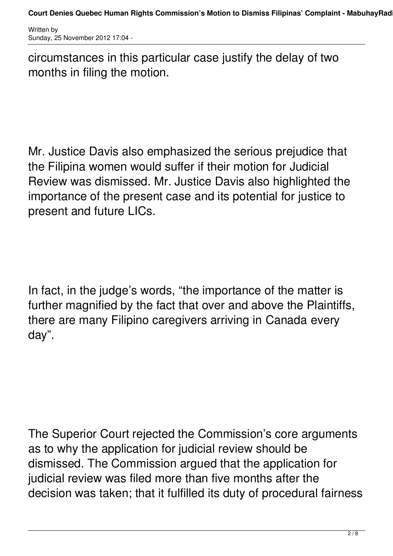circumstances in this particular case justify the delay of two months in filing the motion.

Mr. Justice Davis also emphasized the serious prejudice that the Filipina women would suffer if their motion for Judicial Review was dismissed. Mr. Justice Davis also highlighted the importance of the present case and its potential for justice to present and future LICs.

In fact, in the judge's words, "the importance of the matter is further magnified by the fact that over and above the Plaintiffs, there are many Filipino caregivers arriving in Canada every day".

The Superior Court rejected the Commission's core arguments as to why the application for judicial review should be dismissed. The Commission argued that the application for judicial review was filed more than five months after the decision was taken; that it fulfilled its duty of procedural fairness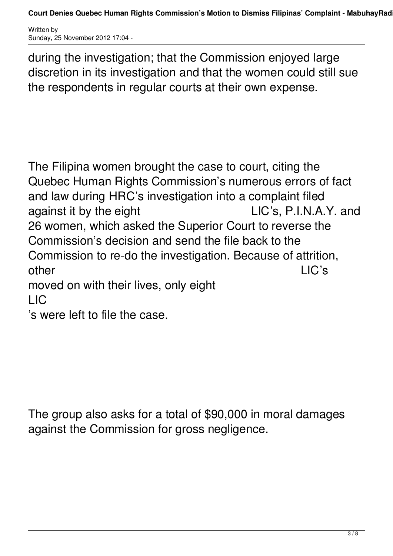during the investigation; that the Commission enjoyed large discretion in its investigation and that the women could still sue the respondents in regular courts at their own expense.

The Filipina women brought the case to court, citing the Quebec Human Rights Commission's numerous errors of fact and law during HRC's investigation into a complaint filed against it by the eight LIC's, P.I.N.A.Y. and 26 women, which asked the Superior Court to reverse the Commission's decision and send the file back to the Commission to re-do the investigation. Because of attrition, other LIC's moved on with their lives, only eight LIC

's were left to file the case.

The group also asks for a total of \$90,000 in moral damages against the Commission for gross negligence.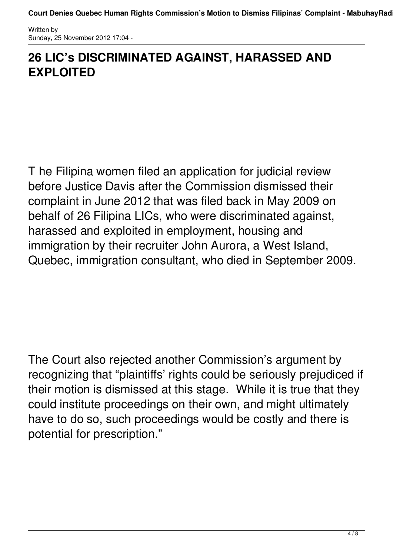## **26 LIC's DISCRIMINATED AGAINST, HARASSED AND EXPLOITED**

T he Filipina women filed an application for judicial review before Justice Davis after the Commission dismissed their complaint in June 2012 that was filed back in May 2009 on behalf of 26 Filipina LICs, who were discriminated against, harassed and exploited in employment, housing and immigration by their recruiter John Aurora, a West Island, Quebec, immigration consultant, who died in September 2009.

The Court also rejected another Commission's argument by recognizing that "plaintiffs' rights could be seriously prejudiced if their motion is dismissed at this stage. While it is true that they could institute proceedings on their own, and might ultimately have to do so, such proceedings would be costly and there is potential for prescription."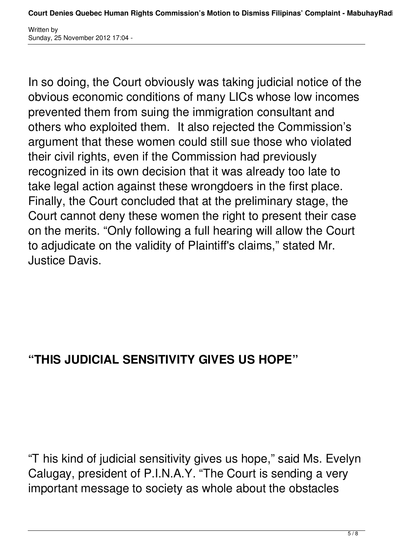In so doing, the Court obviously was taking judicial notice of the obvious economic conditions of many LICs whose low incomes prevented them from suing the immigration consultant and others who exploited them. It also rejected the Commission's argument that these women could still sue those who violated their civil rights, even if the Commission had previously recognized in its own decision that it was already too late to take legal action against these wrongdoers in the first place. Finally, the Court concluded that at the preliminary stage, the Court cannot deny these women the right to present their case on the merits. "Only following a full hearing will allow the Court to adjudicate on the validity of Plaintiff's claims," stated Mr. Justice Davis.

## **"THIS JUDICIAL SENSITIVITY GIVES US HOPE"**

"T his kind of judicial sensitivity gives us hope," said Ms. Evelyn Calugay, president of P.I.N.A.Y. "The Court is sending a very important message to society as whole about the obstacles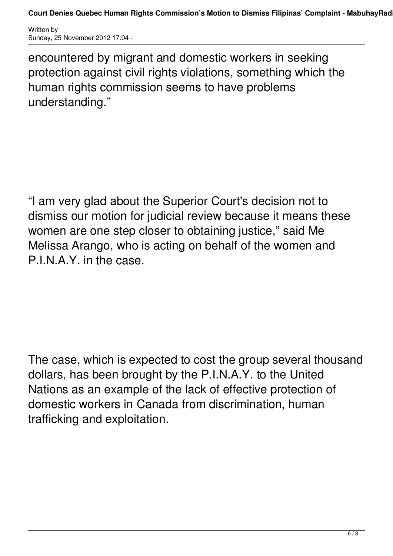**Court Denies Quebec Human Rights Commission's Motion to Dismiss Filipinas' Complaint - MabuhayRadio**

Written by Sunday, 25 November 2012 17:04 -

encountered by migrant and domestic workers in seeking protection against civil rights violations, something which the human rights commission seems to have problems understanding."

"I am very glad about the Superior Court's decision not to dismiss our motion for judicial review because it means these women are one step closer to obtaining justice," said Me Melissa Arango, who is acting on behalf of the women and P.I.N.A.Y. in the case.

The case, which is expected to cost the group several thousand dollars, has been brought by the P.I.N.A.Y. to the United Nations as an example of the lack of effective protection of domestic workers in Canada from discrimination, human trafficking and exploitation.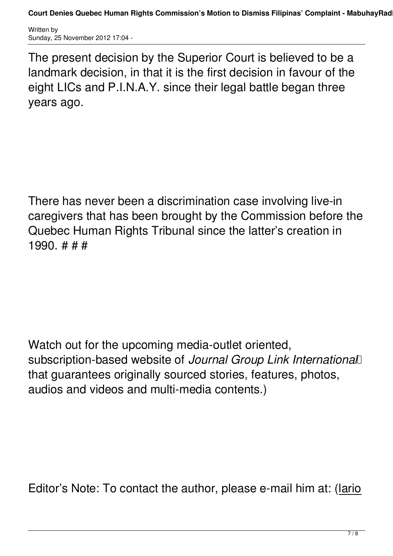**Court Denies Quebec Human Rights Commission's Motion to Dismiss Filipinas' Complaint - MabuhayRadio**

Written by Sunday, 25 November 2012 17:04 -

The present decision by the Superior Court is believed to be a landmark decision, in that it is the first decision in favour of the eight LICs and P.I.N.A.Y. since their legal battle began three years ago.

There has never been a discrimination case involving live-in caregivers that has been brought by the Commission before the Quebec Human Rights Tribunal since the latter's creation in 1990. # # #

Watch out for the upcoming media-outlet oriented, subscription-based website of *Journal Group Link International*  that guarantees originally sourced stories, features, photos, audios and videos and multi-media contents.)

Editor's Note: To contact the author, please e-mail him at: (lario